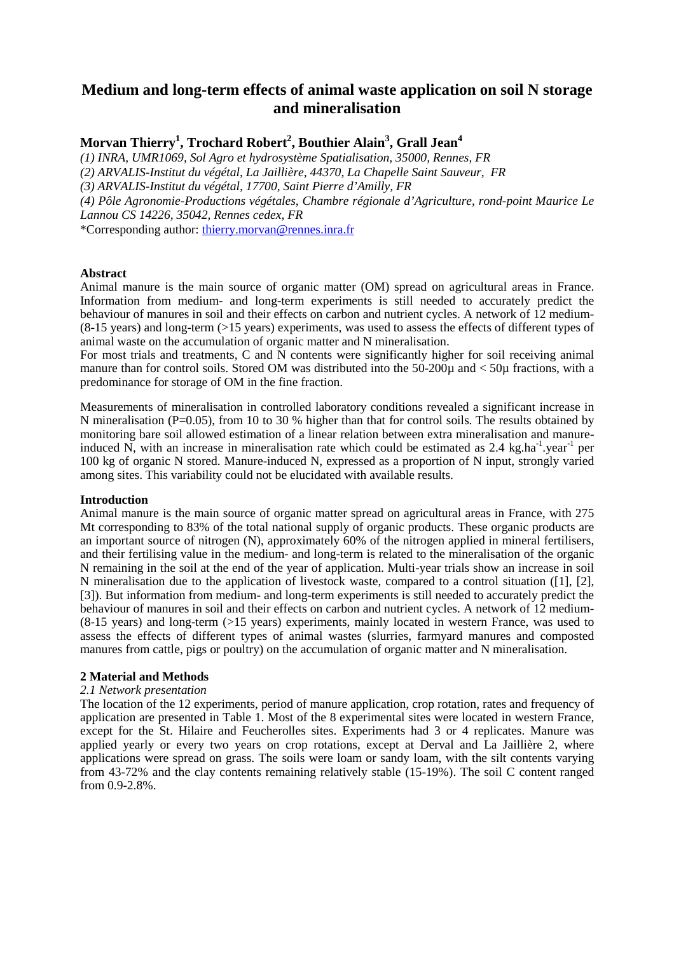# **Medium and long-term effects of animal waste application on soil N storage and mineralisation**

# **Morvan Thierry<sup>1</sup> , Trochard Robert<sup>2</sup> , Bouthier Alain<sup>3</sup> , Grall Jean<sup>4</sup>**

*(1) INRA, UMR1069, Sol Agro et hydrosystème Spatialisation, 35000, Rennes, FR (2) ARVALIS-Institut du végétal, La Jaillière, 44370, La Chapelle Saint Sauveur, FR (3) ARVALIS-Institut du végétal, 17700, Saint Pierre d'Amilly, FR (4) Pôle Agronomie-Productions végétales, Chambre régionale d'Agriculture, rond-point Maurice Le Lannou CS 14226, 35042, Rennes cedex, FR*  \*Corresponding author: thierry.morvan@rennes.inra.fr

### **Abstract**

Animal manure is the main source of organic matter (OM) spread on agricultural areas in France. Information from medium- and long-term experiments is still needed to accurately predict the behaviour of manures in soil and their effects on carbon and nutrient cycles. A network of 12 medium- (8-15 years) and long-term (>15 years) experiments, was used to assess the effects of different types of animal waste on the accumulation of organic matter and N mineralisation.

For most trials and treatments, C and N contents were significantly higher for soil receiving animal manure than for control soils. Stored OM was distributed into the  $50-200\mu$  and  $< 50\mu$  fractions, with a predominance for storage of OM in the fine fraction.

Measurements of mineralisation in controlled laboratory conditions revealed a significant increase in N mineralisation (P=0.05), from 10 to 30 % higher than that for control soils. The results obtained by monitoring bare soil allowed estimation of a linear relation between extra mineralisation and manureinduced N, with an increase in mineralisation rate which could be estimated as  $2.4 \text{ kg.ha}^{-1}$ , year<sup>-1</sup> per 100 kg of organic N stored. Manure-induced N, expressed as a proportion of N input, strongly varied among sites. This variability could not be elucidated with available results.

#### **Introduction**

Animal manure is the main source of organic matter spread on agricultural areas in France, with 275 Mt corresponding to 83% of the total national supply of organic products. These organic products are an important source of nitrogen (N), approximately 60% of the nitrogen applied in mineral fertilisers, and their fertilising value in the medium- and long-term is related to the mineralisation of the organic N remaining in the soil at the end of the year of application. Multi-year trials show an increase in soil N mineralisation due to the application of livestock waste, compared to a control situation ([1], [2], [3]). But information from medium- and long-term experiments is still needed to accurately predict the behaviour of manures in soil and their effects on carbon and nutrient cycles. A network of 12 medium- (8-15 years) and long-term (>15 years) experiments, mainly located in western France, was used to assess the effects of different types of animal wastes (slurries, farmyard manures and composted manures from cattle, pigs or poultry) on the accumulation of organic matter and N mineralisation.

# **2 Material and Methods**

# *2.1 Network presentation*

The location of the 12 experiments, period of manure application, crop rotation, rates and frequency of application are presented in Table 1. Most of the 8 experimental sites were located in western France, except for the St. Hilaire and Feucherolles sites. Experiments had 3 or 4 replicates. Manure was applied yearly or every two years on crop rotations, except at Derval and La Jaillière 2, where applications were spread on grass. The soils were loam or sandy loam, with the silt contents varying from 43-72% and the clay contents remaining relatively stable (15-19%). The soil C content ranged from 0.9-2.8%.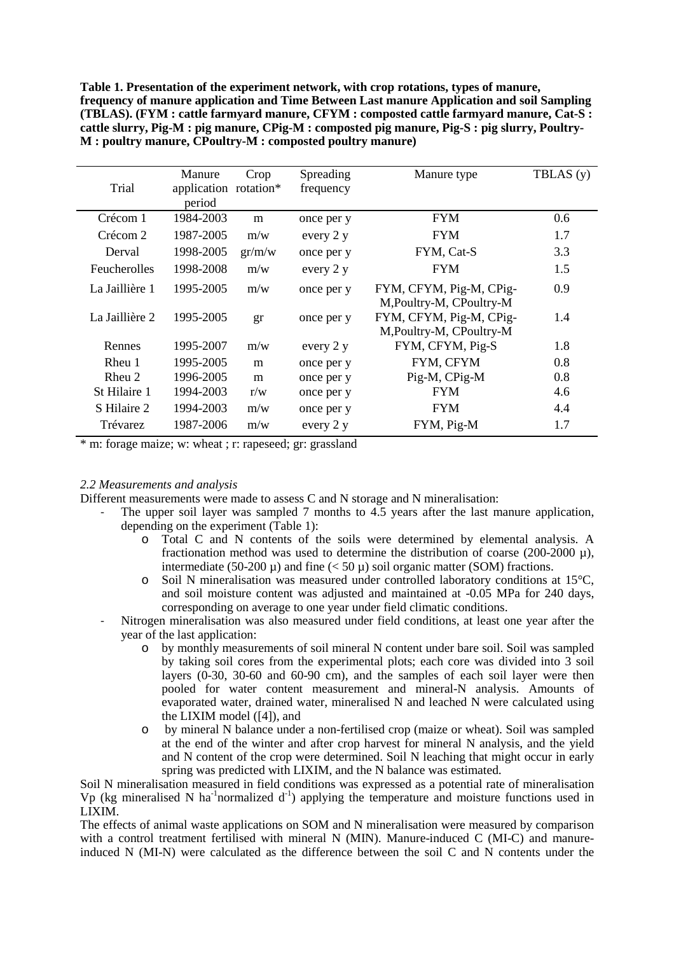**Table 1. Presentation of the experiment network, with crop rotations, types of manure, frequency of manure application and Time Between Last manure Application and soil Sampling (TBLAS). (FYM : cattle farmyard manure, CFYM : composted cattle farmyard manure, Cat-S : cattle slurry, Pig-M : pig manure, CPig-M : composted pig manure, Pig-S : pig slurry, Poultry-M : poultry manure, CPoultry-M : composted poultry manure)** 

| Trial          | Manure<br>application rotation* | Crop   | Spreading<br>frequency | Manure type                                         | TBLAS (y) |
|----------------|---------------------------------|--------|------------------------|-----------------------------------------------------|-----------|
|                | period                          |        |                        |                                                     |           |
| Crécom 1       | 1984-2003                       | m      | once per y             | <b>FYM</b>                                          | 0.6       |
| Crécom 2       | 1987-2005                       | m/w    | every 2 y              | <b>FYM</b>                                          | 1.7       |
| Derval         | 1998-2005                       | gr/m/w | once per y             | FYM, Cat-S                                          | 3.3       |
| Feucherolles   | 1998-2008                       | m/w    | every 2 y              | <b>FYM</b>                                          | 1.5       |
| La Jaillière 1 | 1995-2005                       | m/w    | once per y             | FYM, CFYM, Pig-M, CPig-<br>M, Poultry-M, CPoultry-M | 0.9       |
| La Jaillière 2 | 1995-2005                       | gr     | once per y             | FYM, CFYM, Pig-M, CPig-<br>M, Poultry-M, CPoultry-M | 1.4       |
| Rennes         | 1995-2007                       | m/w    | every 2 y              | FYM, CFYM, Pig-S                                    | 1.8       |
| Rheu 1         | 1995-2005                       | m      | once per y             | FYM, CFYM                                           | 0.8       |
| Rheu 2         | 1996-2005                       | m      | once per y             | Pig-M, CPig-M                                       | 0.8       |
| St Hilaire 1   | 1994-2003                       | r/w    | once per y             | <b>FYM</b>                                          | 4.6       |
| S Hilaire 2    | 1994-2003                       | m/w    | once per y             | <b>FYM</b>                                          | 4.4       |
| Trévarez       | 1987-2006                       | m/w    | every 2 y              | FYM, Pig-M                                          | 1.7       |

\* m: forage maize; w: wheat ; r: rapeseed; gr: grassland

# *2.2 Measurements and analysis*

Different measurements were made to assess C and N storage and N mineralisation:

- The upper soil layer was sampled 7 months to 4.5 years after the last manure application, depending on the experiment (Table 1):
	- o Total C and N contents of the soils were determined by elemental analysis. A fractionation method was used to determine the distribution of coarse (200-2000 µ), intermediate (50-200  $\mu$ ) and fine (< 50  $\mu$ ) soil organic matter (SOM) fractions.
	- o Soil N mineralisation was measured under controlled laboratory conditions at 15°C, and soil moisture content was adjusted and maintained at -0.05 MPa for 240 days, corresponding on average to one year under field climatic conditions.
- Nitrogen mineralisation was also measured under field conditions, at least one year after the year of the last application:
	- o by monthly measurements of soil mineral N content under bare soil. Soil was sampled by taking soil cores from the experimental plots; each core was divided into 3 soil layers  $(0-30, 30-60,$  and  $60-90,$  cm), and the samples of each soil layer were then pooled for water content measurement and mineral-N analysis. Amounts of evaporated water, drained water, mineralised N and leached N were calculated using the LIXIM model ([4]), and
	- o by mineral N balance under a non-fertilised crop (maize or wheat). Soil was sampled at the end of the winter and after crop harvest for mineral N analysis, and the yield and N content of the crop were determined. Soil N leaching that might occur in early spring was predicted with LIXIM, and the N balance was estimated.

Soil N mineralisation measured in field conditions was expressed as a potential rate of mineralisation Vp (kg mineralised N ha<sup>-1</sup>normalized  $d^{-1}$ ) applying the temperature and moisture functions used in LIXIM.

The effects of animal waste applications on SOM and N mineralisation were measured by comparison with a control treatment fertilised with mineral N (MIN). Manure-induced C (MI-C) and manureinduced N (MI-N) were calculated as the difference between the soil C and N contents under the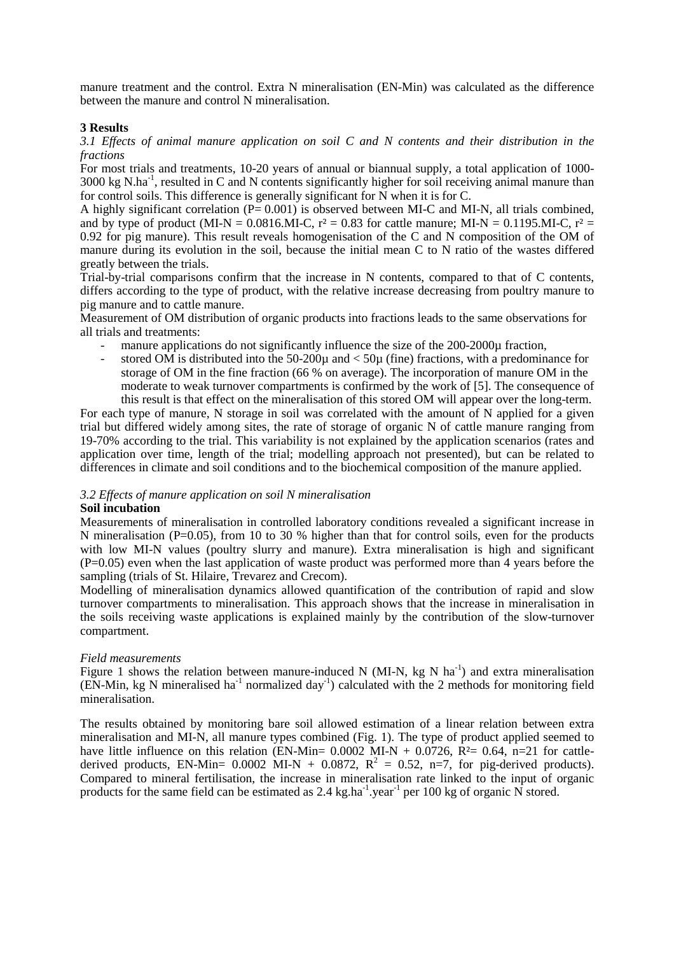manure treatment and the control. Extra N mineralisation (EN-Min) was calculated as the difference between the manure and control N mineralisation.

## **3 Results**

*3.1 Effects of animal manure application on soil C and N contents and their distribution in the fractions* 

For most trials and treatments, 10-20 years of annual or biannual supply, a total application of 1000-  $3000 \text{ kg } N \cdot \text{ha}^{-1}$ , resulted in C and N contents significantly higher for soil receiving animal manure than for control soils. This difference is generally significant for N when it is for C.

A highly significant correlation  $(P= 0.001)$  is observed between MI-C and MI-N, all trials combined, and by type of product (MI-N =  $0.0816$ .MI-C, r<sup>2</sup> = 0.83 for cattle manure; MI-N = 0.1195.MI-C, r<sup>2</sup> = 0.92 for pig manure). This result reveals homogenisation of the C and N composition of the OM of manure during its evolution in the soil, because the initial mean C to N ratio of the wastes differed greatly between the trials.

Trial-by-trial comparisons confirm that the increase in N contents, compared to that of C contents, differs according to the type of product, with the relative increase decreasing from poultry manure to pig manure and to cattle manure.

Measurement of OM distribution of organic products into fractions leads to the same observations for all trials and treatments:

- manure applications do not significantly influence the size of the 200-2000u fraction,
- stored OM is distributed into the  $50-200u$  and  $\lt 50u$  (fine) fractions, with a predominance for storage of OM in the fine fraction (66 % on average). The incorporation of manure OM in the moderate to weak turnover compartments is confirmed by the work of [5]. The consequence of this result is that effect on the mineralisation of this stored OM will appear over the long-term.

For each type of manure, N storage in soil was correlated with the amount of N applied for a given trial but differed widely among sites, the rate of storage of organic N of cattle manure ranging from 19-70% according to the trial. This variability is not explained by the application scenarios (rates and application over time, length of the trial; modelling approach not presented), but can be related to differences in climate and soil conditions and to the biochemical composition of the manure applied.

# *3.2 Effects of manure application on soil N mineralisation*

#### **Soil incubation**

Measurements of mineralisation in controlled laboratory conditions revealed a significant increase in N mineralisation (P=0.05), from 10 to 30 % higher than that for control soils, even for the products with low MI-N values (poultry slurry and manure). Extra mineralisation is high and significant (P=0.05) even when the last application of waste product was performed more than 4 years before the sampling (trials of St. Hilaire, Trevarez and Crecom).

Modelling of mineralisation dynamics allowed quantification of the contribution of rapid and slow turnover compartments to mineralisation. This approach shows that the increase in mineralisation in the soils receiving waste applications is explained mainly by the contribution of the slow-turnover compartment.

# *Field measurements*

Figure 1 shows the relation between manure-induced N (MI-N, kg N ha<sup>-1</sup>) and extra mineralisation  $(EN-Min, kg N mineralised ha<sup>-1</sup> normalized day<sup>-1</sup>) calculated with the 2 methods for monitoring field$ mineralisation.

The results obtained by monitoring bare soil allowed estimation of a linear relation between extra mineralisation and MI-N, all manure types combined (Fig. 1). The type of product applied seemed to have little influence on this relation (EN-Min=  $0.0002$  MI-N +  $0.0726$ ,  $\hat{R}^2$ =  $0.64$ , n=21 for cattlederived products, EN-Min= 0.0002 MI-N + 0.0872,  $R^2 = 0.52$ , n=7, for pig-derived products). Compared to mineral fertilisation, the increase in mineralisation rate linked to the input of organic products for the same field can be estimated as 2.4 kg.ha<sup>-1</sup>.year<sup>-1</sup> per 100 kg of organic N stored.